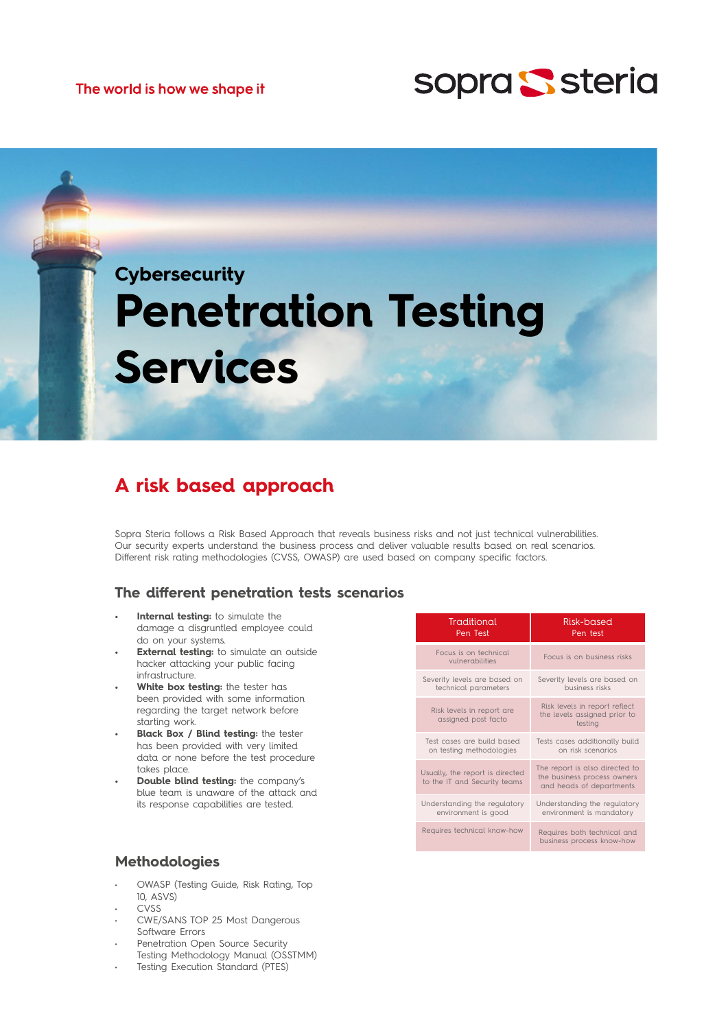



# **Penetration Testing Services**

## **A risk based approach**

Sopra Steria follows a Risk Based Approach that reveals business risks and not just technical vulnerabilities. Our security experts understand the business process and deliver valuable results based on real scenarios. Different risk rating methodologies (CVSS, OWASP) are used based on company specific factors.

### **The different penetration tests scenarios**

- **• Internal testing:** to simulate the damage a disgruntled employee could do on your systems.
- **External testing:** to simulate an outside hacker attacking your public facing infrastructure.
- **• White box testing:** the tester has been provided with some information regarding the target network before starting work.
- **• Black Box / Blind testing:** the tester has been provided with very limited data or none before the test procedure takes place.
- **• Double blind testing:** the company's blue team is unaware of the attack and its response capabilities are tested.

| Traditional                                                     | Risk-based                                                                                |
|-----------------------------------------------------------------|-------------------------------------------------------------------------------------------|
| Pen Test                                                        | Pen test                                                                                  |
| Focus is on technical<br>vulnerabilities                        | Focus is on business risks                                                                |
| Severity levels are based on                                    | Severity levels are based on                                                              |
| technical parameters                                            | business risks                                                                            |
| Risk levels in report are<br>assigned post facto                | Risk levels in report reflect<br>the levels assigned prior to<br>testing                  |
| Test cases are build based                                      | Tests cases additionally build                                                            |
| on testing methodologies                                        | on risk scenarios                                                                         |
| Usually, the report is directed<br>to the IT and Security teams | The report is also directed to<br>the business process owners<br>and heads of departments |
| Understanding the regulatory                                    | Understanding the regulatory                                                              |
| environment is good                                             | environment is mandatory                                                                  |
| Requires technical know-how                                     | Requires both technical and<br>business process know-how                                  |

## **Methodologies**

- OWASP (Testing Guide, Risk Rating, Top 10, ASVS)
- CVSS
- CWE/SANS TOP 25 Most Dangerous Software Errors
- Penetration Open Source Security Testing Methodology Manual (OSSTMM)
- Testing Execution Standard (PTES)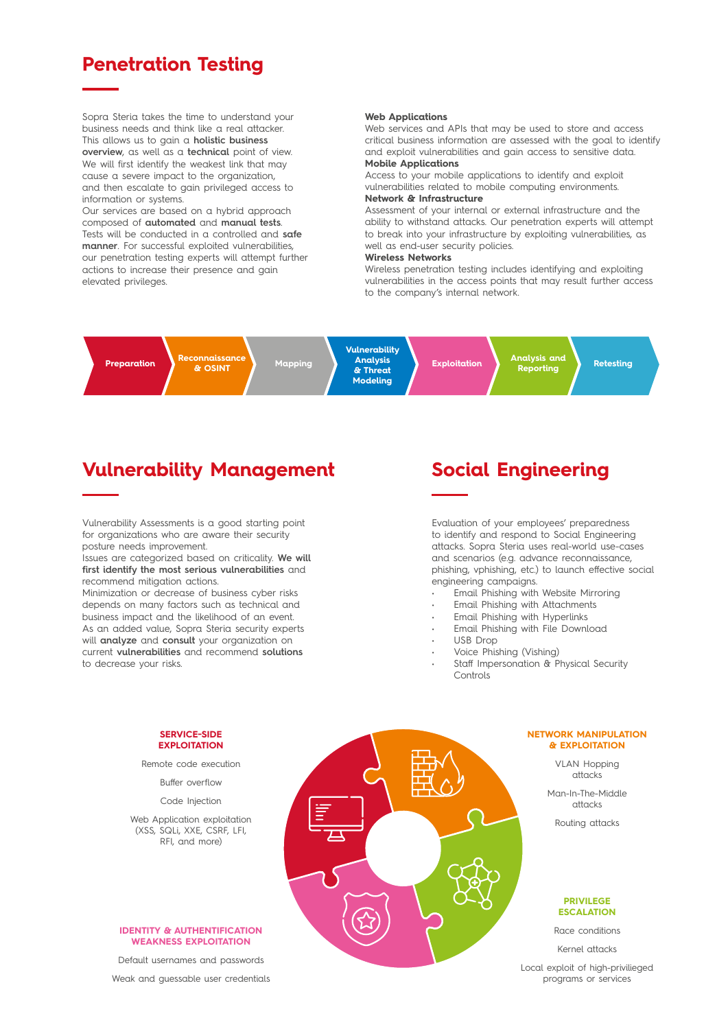## **Penetration Testing**

Sopra Steria takes the time to understand your business needs and think like a real attacker. This allows us to gain a **holistic business overview**, as well as a **technical** point of view. We will first identify the weakest link that may cause a severe impact to the organization, and then escalate to gain privileged access to information or systems.

Our services are based on a hybrid approach composed of **automated** and **manual tests**. Tests will be conducted in a controlled and **safe manner**. For successful exploited vulnerabilities, our penetration testing experts will attempt further actions to increase their presence and gain elevated privileges.

#### **Web Applications**

Web services and APIs that may be used to store and access critical business information are assessed with the goal to identify and exploit vulnerabilities and gain access to sensitive data. **Mobile Applications**

Access to your mobile applications to identify and exploit vulnerabilities related to mobile computing environments. **Network & Infrastructure**

Assessment of your internal or external infrastructure and the ability to withstand attacks. Our penetration experts will attempt to break into your infrastructure by exploiting vulnerabilities, as well as end-user security policies.

#### **Wireless Networks**

Wireless penetration testing includes identifying and exploiting vulnerabilities in the access points that may result further access to the company's internal network.

**Preparation** 

**& OSINT Mapping**

**Vulnerability Analysis & Threat Modeling**

**Exploitation Analysis and Reporting Retesting**

## **Vulnerability Management**

Vulnerability Assessments is a good starting point for organizations who are aware their security posture needs improvement.

Issues are categorized based on criticality. **We will first identify the most serious vulnerabilities** and recommend mitigation actions.

Minimization or decrease of business cyber risks depends on many factors such as technical and business impact and the likelihood of an event. As an added value, Sopra Steria security experts will **analyze** and **consult** your organization on current **vulnerabilities** and recommend **solutions** to decrease your risks.

## **Social Engineering**

Evaluation of your employees' preparedness to identify and respond to Social Engineering attacks. Sopra Steria uses real-world use-cases and scenarios (e.g. advance reconnaissance, phishing, vphishing, etc.) to launch effective social engineering campaigns.

- Email Phishing with Website Mirroring
- Email Phishing with Attachments
- Email Phishing with Hyperlinks
- Email Phishing with File Download
- USB Drop
- Voice Phishing (Vishing)
- Staff Impersonation & Physical Security **Controls**

#### **NETWORK MANIPULATION & EXPLOITATION**

VLAN Hopping attacks

Man-In-The-Middle attacks

Routing attacks

#### **PRIVILEGE ESCALATION**

Race conditions

Kernel attacks

Local exploit of high-privilieged programs or services

#### **SERVICE-SIDE EXPLOITATION**

Remote code execution

Buffer overflow

Code Injection

Web Application exploitation (XSS, SQLi, XXE, CSRF, LFI, RFI, and more)

#### **IDENTITY & AUTHENTIFICATION WEAKNESS EXPLOITATION**

Default usernames and passwords Weak and guessable user credentials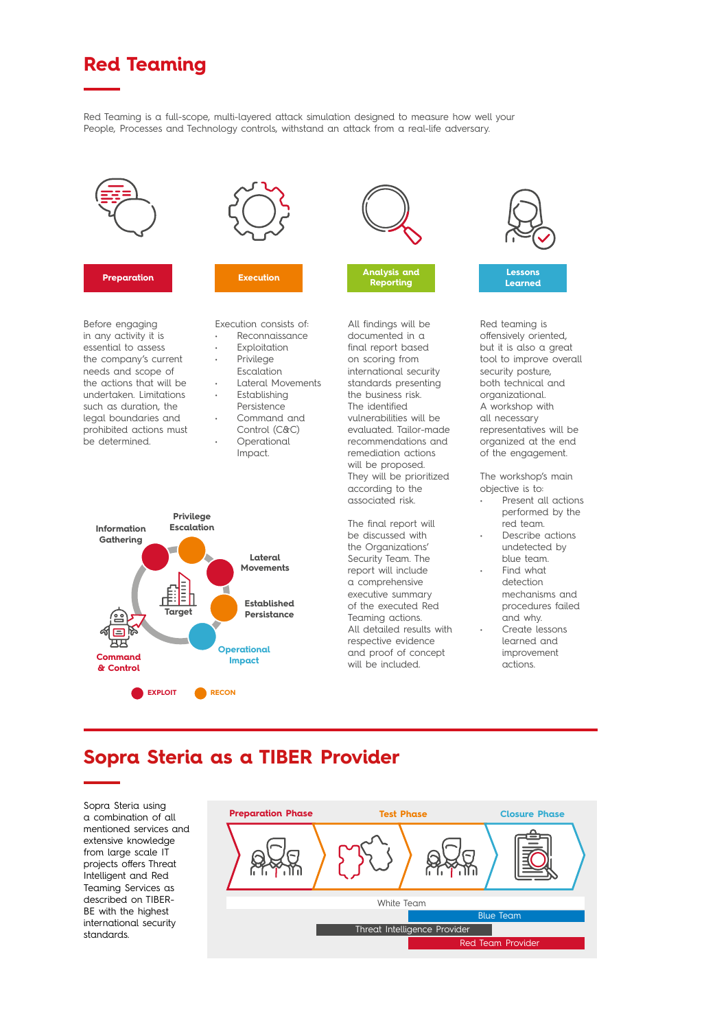# **Red Teaming**

Red Teaming is a full-scope, multi-layered attack simulation designed to measure how well your People, Processes and Technology controls, withstand an attack from a real-life adversary.



#### RFI, and more) RFI, and more)

Before engaging in any activity it is essential to assess the company's current and scope of meeds and scope of the actions that will be undertaken. Limitations and changes and the user candidates legal boundaries and prohibited actions must be determined.



#### **Preparation Execution Execution Analysis and Preparation Preparation**<br>Preparation **Belling in the Execution Preparation Execution Analysis and Preparation Execution Analysis and**

Execution consists of: • Reconnaissance

- **Exploitation Privilege**
- **Escalation**
- Lateral Movements
- **Establishing** Persistence Command and
- Control (C&C) **Operational** Impact.



All findings will be documented in a final report based on scoring from international security standards presenting the business risk. The identified vulnerabilities will be evaluated. Tailor-made recommendations and remediation actions will be proposed. They will be prioritized

**Reporting Reporting Reporting Reporting**

according to the associated risk.

The final report will be discussed with the Organizations' Security Team. The report will include a comprehensive executive summary of the executed Red Teaming actions. All detailed results with respective evidence and proof of concept will be included.



Red teaming is offensively oriented, but it is also a great tool to improve overall security posture, both technical and organizational. a workshop with all necessary representatives will be organized at the end of the engagement.

> The workshop's main objective is to:

- Present all actions performed by the red team.
- Describe actions undetected by blue team.
- Find what detection mechanisms and procedures failed and why.
- Create lessons learned and improvement actions.

## **Sopra Steria as a TIBER Provider**

Sopra Steria using a combination of all mentioned services and extensive knowledge from large scale IT projects offers Threat Intelligent and Red Teaming Services as described on TIBER-BE with the highest international security standards.